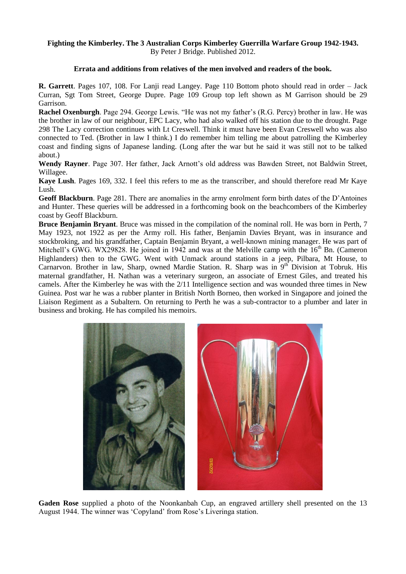#### **Fighting the Kimberley. The 3 Australian Corps Kimberley Guerrilla Warfare Group 1942-1943.** By Peter J Bridge. Published 2012.

### **Errata and additions from relatives of the men involved and readers of the book.**

**R. Garrett**. Pages 107, 108. For Lanji read Langey. Page 110 Bottom photo should read in order – Jack Curran, Sgt Tom Street, George Dupre. Page 109 Group top left shown as M Garrison should be 29 Garrison.

**Rachel Oxenburgh**. Page 294. George Lewis. "He was not my father's (R.G. Percy) brother in law. He was the brother in law of our neighbour, EPC Lacy, who had also walked off his station due to the drought. Page 298 The Lacy correction continues with Lt Creswell. Think it must have been Evan Creswell who was also connected to Ted. (Brother in law I think.) I do remember him telling me about patrolling the Kimberley coast and finding signs of Japanese landing. (Long after the war but he said it was still not to be talked about.)

**Wendy Rayner**. Page 307. Her father, Jack Arnott's old address was Bawden Street, not Baldwin Street, Willagee.

**Kaye Lush**. Pages 169, 332. I feel this refers to me as the transcriber, and should therefore read Mr Kaye Lush.

**Geoff Blackburn**. Page 281. There are anomalies in the army enrolment form birth dates of the D'Antoines and Hunter. These queries will be addressed in a forthcoming book on the beachcombers of the Kimberley coast by Geoff Blackburn.

**Bruce Benjamin Bryant**. Bruce was missed in the compilation of the nominal roll. He was born in Perth, 7 May 1923, not 1922 as per the Army roll. His father, Benjamin Davies Bryant, was in insurance and stockbroking, and his grandfather, Captain Benjamin Bryant, a well-known mining manager. He was part of Mitchell's GWG. WX29828. He joined in 1942 and was at the Melville camp with the  $16<sup>th</sup>$  Bn. (Cameron Highlanders) then to the GWG. Went with Unmack around stations in a jeep, Pilbara, Mt House, to Carnarvon. Brother in law, Sharp, owned Mardie Station. R. Sharp was in 9<sup>th</sup> Division at Tobruk. His maternal grandfather, H. Nathan was a veterinary surgeon, an associate of Ernest Giles, and treated his camels. After the Kimberley he was with the 2/11 Intelligence section and was wounded three times in New Guinea. Post war he was a rubber planter in British North Borneo, then worked in Singapore and joined the Liaison Regiment as a Subaltern. On returning to Perth he was a sub-contractor to a plumber and later in business and broking. He has compiled his memoirs.



**Gaden Rose** supplied a photo of the Noonkanbah Cup, an engraved artillery shell presented on the 13 August 1944. The winner was 'Copyland' from Rose's Liveringa station.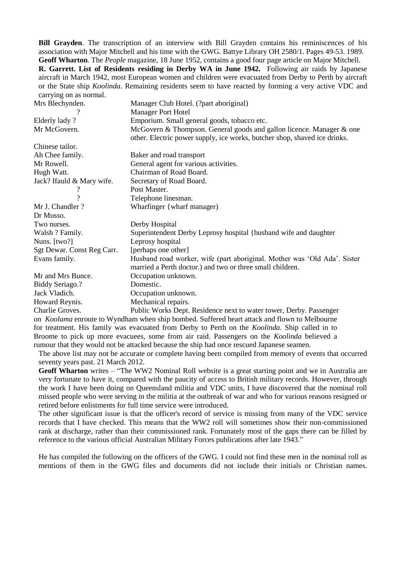**Bill Grayden**. The transcription of an interview with Bill Grayden contains his reminiscences of his association with Major Mitchell and his time with the GWG. Battye Library OH 2580/1. Pages 49-53. 1989. **Geoff Wharton**. The *People* magazine, 18 June 1952, contains a good four page article on Major Mitchell. **R. Garrett. List of Residents residing in Derby WA in June 1942.** Following air raids by Japanese aircraft in March 1942, most European women and children were evacuated from Derby to Perth by aircraft or the State ship *Koolinda*. Remaining residents seem to have reacted by forming a very active VDC and carrying on as normal.

| Mrs Blechynden.            | Manager Club Hotel. (?part aboriginal)                                    |
|----------------------------|---------------------------------------------------------------------------|
| ?                          | <b>Manager Port Hotel</b>                                                 |
| Elderly lady?              | Emporium. Small general goods, tobacco etc.                               |
| Mr McGovern.               | McGovern & Thompson. General goods and gallon licence. Manager & one      |
|                            | other. Electric power supply, ice works, butcher shop, shaved ice drinks. |
| Chinese tailor.            |                                                                           |
| Ah Chee family.            | Baker and road transport                                                  |
| Mr Rowell.                 | General agent for various activities.                                     |
| Hugh Watt.                 | Chairman of Road Board.                                                   |
| Jack? If auld & Mary wife. | Secretary of Road Board.                                                  |
|                            | Post Master.                                                              |
| 9                          | Telephone linesman.                                                       |
| Mr J. Chandler?            | Wharfinger {wharf manager}                                                |
| Dr Musso.                  |                                                                           |
| Two nurses.                | Derby Hospital                                                            |
| Walsh ? Family.            | Superintendent Derby Leprosy hospital {husband wife and daughter          |
| Nuns. [two?]               | Leprosy hospital                                                          |
| Sgt Dewar. Const Reg Carr. | [perhaps one other]                                                       |
| Evans family.              | Husband road worker, wife (part aboriginal. Mother was 'Old Ada'. Sister  |
|                            | married a Perth doctor.) and two or three small children.                 |
| Mr and Mrs Bunce.          | Occupation unknown.                                                       |
| <b>Biddy Seriago.?</b>     | Domestic.                                                                 |
| Jack Vladich.              | Occupation unknown.                                                       |
| Howard Reynis.             | Mechanical repairs.                                                       |
| Charlie Groves.            | Public Works Dept. Residence next to water tower, Derby. Passenger        |

on *Koolama* enroute to Wyndham when ship bombed. Suffered heart attack and flown to Melbourne for treatment. His family was evacuated from Derby to Perth on the *Koolinda*. Ship called in to Broome to pick up more evacuees, some from air raid. Passengers on the *Koolinda* believed a rumour that they would not be attacked because the ship had once rescued Japanese seamen.

The above list may not be accurate or complete having been compiled from memory of events that occurred seventy years past. 21 March 2012.

**Geoff Wharton** writes – "The WW2 Nominal Roll website is a great starting point and we in Australia are very fortunate to have it, compared with the paucity of access to British military records. However, through the work I have been doing on Queensland militia and VDC units, I have discovered that the nominal roll missed people who were serving in the militia at the outbreak of war and who for various reasons resigned or retired before enlistments for full time service were introduced.

The other significant issue is that the officer's record of service is missing from many of the VDC service records that I have checked. This means that the WW2 roll will sometimes show their non-commissioned rank at discharge, rather than their commissioned rank. Fortunately most of the gaps there can be filled by reference to the various official Australian Military Forces publications after late 1943."

He has compiled the following on the officers of the GWG. I could not find these men in the nominal roll as mentions of them in the GWG files and documents did not include their initials or Christian names.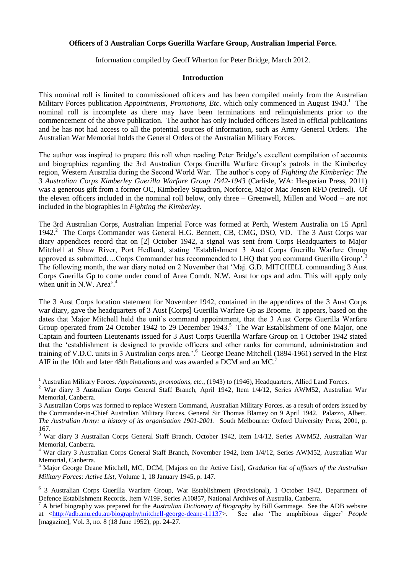### **Officers of 3 Australian Corps Guerilla Warfare Group, Australian Imperial Force.**

Information compiled by Geoff Wharton for Peter Bridge, March 2012.

### **Introduction**

This nominal roll is limited to commissioned officers and has been compiled mainly from the Australian Military Forces publication *Appointments, Promotions, Etc.* which only commenced in August 1943.<sup>1</sup> The nominal roll is incomplete as there may have been terminations and relinquishments prior to the commencement of the above publication. The author has only included officers listed in official publications and he has not had access to all the potential sources of information, such as Army General Orders. The Australian War Memorial holds the General Orders of the Australian Military Forces.

The author was inspired to prepare this roll when reading Peter Bridge's excellent compilation of accounts and biographies regarding the 3rd Australian Corps Guerilla Warfare Group's patrols in the Kimberley region, Western Australia during the Second World War. The author's copy of *Fighting the Kimberley: The 3 Australian Corps Kimberley Guerilla Warfare Group 1942-1943* (Carlisle, WA: Hesperian Press, 2011) was a generous gift from a former OC, Kimberley Squadron, Norforce, Major Mac Jensen RFD (retired). Of the eleven officers included in the nominal roll below, only three – Greenwell, Millen and Wood – are not included in the biographies in *Fighting the Kimberley*.

The 3rd Australian Corps, Australian Imperial Force was formed at Perth, Western Australia on 15 April 1942.<sup>2</sup> The Corps Commander was General H.G. Bennett, CB, CMG, DSO, VD. The 3 Aust Corps war diary appendices record that on [2] October 1942, a signal was sent from Corps Headquarters to Major Mitchell at Shaw River, Port Hedland, stating 'Establishment 3 Aust Corps Guerilla Warfare Group approved as submitted….Corps Commander has recommended to LHQ that you command Guerilla Group'.<sup>3</sup> The following month, the war diary noted on 2 November that 'Maj. G.D. MITCHELL commanding 3 Aust Corps Guerilla Gp to come under comd of Area Comdt. N.W. Aust for ops and adm. This will apply only when unit in N.W. Area'.<sup>4</sup>

The 3 Aust Corps location statement for November 1942, contained in the appendices of the 3 Aust Corps war diary, gave the headquarters of 3 Aust [Corps] Guerilla Warfare Gp as Broome. It appears, based on the dates that Major Mitchell held the unit's command appointment, that the 3 Aust Corps Guerilla Warfare Group operated from 24 October 1942 to 29 December 1943.<sup>5</sup> The War Establishment of one Major, one Captain and fourteen Lieutenants issued for 3 Aust Corps Guerilla Warfare Group on 1 October 1942 stated that the 'establishment is designed to provide officers and other ranks for command, administration and training of V.D.C. units in 3 Australian corps area.'.<sup>6</sup> George Deane Mitchell (1894-1961) served in the First AIF in the 10th and later 48th Battalions and was awarded a DCM and an MC.<sup>7</sup>

**<sup>.</sup>** <sup>1</sup> Australian Military Forces. *Appointments, promotions, etc.*, (1943) to (1946), Headquarters, Allied Land Forces.

<sup>2</sup> War diary 3 Australian Corps General Staff Branch, April 1942, Item 1/4/12, Series AWM52, Australian War Memorial, Canberra.

<sup>3</sup> Australian Corps was formed to replace Western Command, Australian Military Forces, as a result of orders issued by the Commander-in-Chief Australian Military Forces, General Sir Thomas Blamey on 9 April 1942. Palazzo, Albert. *The Australian Army: a history of its organisation 1901-2001*. South Melbourne: Oxford University Press, 2001, p. 167.

<sup>3</sup> War diary 3 Australian Corps General Staff Branch, October 1942, Item 1/4/12, Series AWM52, Australian War Memorial, Canberra.

<sup>4</sup> War diary 3 Australian Corps General Staff Branch, November 1942, Item 1/4/12, Series AWM52, Australian War Memorial, Canberra.

<sup>5</sup> Major George Deane Mitchell, MC, DCM, [Majors on the Active List], *Gradation list of officers of the Australian Military Forces: Active List*, Volume 1, 18 January 1945, p. 147.

<sup>6</sup> 3 Australian Corps Guerilla Warfare Group, War Establishment (Provisional), 1 October 1942, Department of Defence Establishment Records, Item V/19F, Series A10857, National Archives of Australia, Canberra.

<sup>7</sup> A brief biography was prepared for the *Australian Dictionary of Biography* by Bill Gammage. See the ADB website at [<http://adb.anu.edu.au/biography/mitchell-george-deane-11137>](http://adb.anu.edu.au/biography/mitchell-george-deane-11137). See also 'The amphibious digger' *People* [magazine], Vol. 3, no. 8 (18 June 1952), pp. 24-27.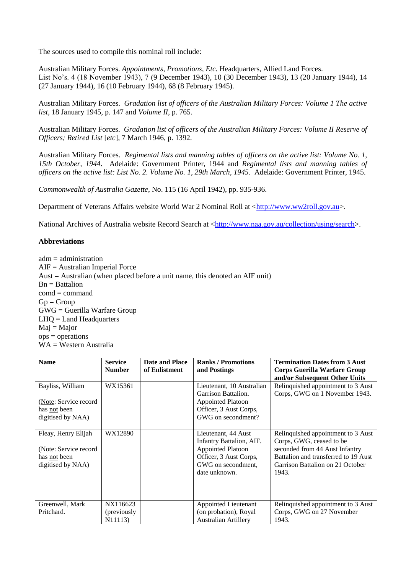The sources used to compile this nominal roll include:

Australian Military Forces. *Appointments, Promotions, Etc.* Headquarters, Allied Land Forces. List No's. 4 (18 November 1943), 7 (9 December 1943), 10 (30 December 1943), 13 (20 January 1944), 14 (27 January 1944), 16 (10 February 1944), 68 (8 February 1945).

Australian Military Forces. *Gradation list of officers of the Australian Military Forces: Volume 1 The active list,* 18 January 1945, p. 147 and *Volume II*, p. 765.

Australian Military Forces. *Gradation list of officers of the Australian Military Forces: Volume II Reserve of Officers; Retired List* [*etc*], 7 March 1946, p. 1392.

Australian Military Forces. *Regimental lists and manning tables of officers on the active list: Volume No. 1, 15th October, 1944*. Adelaide: Government Printer, 1944 and *Regimental lists and manning tables of officers on the active list: List No. 2. Volume No. 1, 29th March, 1945*. Adelaide: Government Printer, 1945.

*Commonwealth of Australia Gazette*, No. 115 (16 April 1942), pp. 935-936.

Department of Veterans Affairs website World War 2 Nominal Roll at [<http://www.ww2roll.gov.au>](http://www.ww2roll.gov.au/).

National Archives of Australia website Record Search at [<http://www.naa.gov.au/collection/using/search>](http://www.naa.gov.au/collection/using/search).

# **Abbreviations**

 $adm = administration$ AIF = Australian Imperial Force Aust = Australian (when placed before a unit name, this denoted an AIF unit)  $Bn =$ Battalion  $comd = command$  $Gp = Group$ GWG = Guerilla Warfare Group  $LHO = Land Headquarters$  $Mai = Major$ ops = operations WA = Western Australia

| <b>Name</b>           | <b>Service</b> | Date and Place | <b>Ranks / Promotions</b>   | <b>Termination Dates from 3 Aust</b> |
|-----------------------|----------------|----------------|-----------------------------|--------------------------------------|
|                       | <b>Number</b>  | of Enlistment  | and Postings                | <b>Corps Guerilla Warfare Group</b>  |
|                       |                |                |                             | and/or Subsequent Other Units        |
| Bayliss, William      | WX15361        |                | Lieutenant, 10 Australian   | Relinquished appointment to 3 Aust   |
|                       |                |                | Garrison Battalion.         | Corps, GWG on 1 November 1943.       |
| (Note: Service record |                |                | <b>Appointed Platoon</b>    |                                      |
| has not been          |                |                | Officer, 3 Aust Corps,      |                                      |
| digitised by NAA)     |                |                | GWG on secondment?          |                                      |
|                       |                |                |                             |                                      |
| Fleay, Henry Elijah   | WX12890        |                | Lieutenant, 44 Aust         | Relinquished appointment to 3 Aust   |
|                       |                |                | Infantry Battalion, AIF.    | Corps, GWG, ceased to be             |
| (Note: Service record |                |                | <b>Appointed Platoon</b>    | seconded from 44 Aust Infantry       |
| has not been          |                |                | Officer, 3 Aust Corps,      | Battalion and transferred to 19 Aust |
| digitised by NAA)     |                |                | GWG on secondment,          | Garrison Battalion on 21 October     |
|                       |                |                | date unknown.               | 1943.                                |
|                       |                |                |                             |                                      |
|                       |                |                |                             |                                      |
|                       |                |                |                             |                                      |
| Greenwell, Mark       | NX116623       |                | Appointed Lieutenant        | Relinquished appointment to 3 Aust   |
| Pritchard.            | (previously    |                | (on probation), Royal       | Corps, GWG on 27 November            |
|                       | N11113)        |                | <b>Australian Artillery</b> | 1943.                                |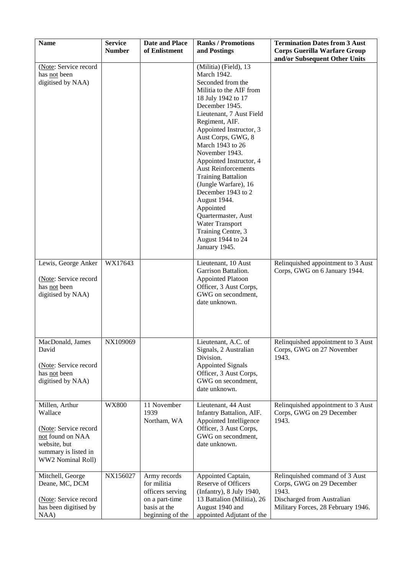| <b>Name</b>                                                                                                                         | <b>Service</b><br><b>Number</b> | <b>Date and Place</b><br>of Enlistment                                                                | <b>Ranks / Promotions</b><br>and Postings                                                                                                                                                                                                                                                                                                                                                                                                                                                                                                | <b>Termination Dates from 3 Aust</b><br><b>Corps Guerilla Warfare Group</b><br>and/or Subsequent Other Units                             |
|-------------------------------------------------------------------------------------------------------------------------------------|---------------------------------|-------------------------------------------------------------------------------------------------------|------------------------------------------------------------------------------------------------------------------------------------------------------------------------------------------------------------------------------------------------------------------------------------------------------------------------------------------------------------------------------------------------------------------------------------------------------------------------------------------------------------------------------------------|------------------------------------------------------------------------------------------------------------------------------------------|
| (Note: Service record<br>has not been<br>digitised by NAA)                                                                          |                                 |                                                                                                       | (Militia) (Field), 13<br>March 1942.<br>Seconded from the<br>Militia to the AIF from<br>18 July 1942 to 17<br>December 1945.<br>Lieutenant, 7 Aust Field<br>Regiment, AIF.<br>Appointed Instructor, 3<br>Aust Corps, GWG, 8<br>March 1943 to 26<br>November 1943.<br>Appointed Instructor, 4<br><b>Aust Reinforcements</b><br><b>Training Battalion</b><br>(Jungle Warfare), 16<br>December 1943 to 2<br>August 1944.<br>Appointed<br>Quartermaster, Aust<br>Water Transport<br>Training Centre, 3<br>August 1944 to 24<br>January 1945. |                                                                                                                                          |
| Lewis, George Anker<br>(Note: Service record<br>has not been<br>digitised by NAA)                                                   | WX17643                         |                                                                                                       | Lieutenant, 10 Aust<br>Garrison Battalion.<br><b>Appointed Platoon</b><br>Officer, 3 Aust Corps,<br>GWG on secondment,<br>date unknown.                                                                                                                                                                                                                                                                                                                                                                                                  | Relinquished appointment to 3 Aust<br>Corps, GWG on 6 January 1944.                                                                      |
| MacDonald, James<br>David<br>(Note: Service record<br>has not been<br>digitised by NAA)                                             | NX109069                        |                                                                                                       | Lieutenant, A.C. of<br>Signals, 2 Australian<br>Division.<br><b>Appointed Signals</b><br>Officer, 3 Aust Corps,<br>GWG on secondment,<br>date unknown.                                                                                                                                                                                                                                                                                                                                                                                   | Relinquished appointment to 3 Aust<br>Corps, GWG on 27 November<br>1943.                                                                 |
| Millen, Arthur<br>Wallace<br>(Note: Service record<br>not found on NAA<br>website, but<br>summary is listed in<br>WW2 Nominal Roll) | <b>WX800</b>                    | 11 November<br>1939<br>Northam, WA                                                                    | Lieutenant, 44 Aust<br>Infantry Battalion, AIF.<br>Appointed Intelligence<br>Officer, 3 Aust Corps,<br>GWG on secondment,<br>date unknown.                                                                                                                                                                                                                                                                                                                                                                                               | Relinquished appointment to 3 Aust<br>Corps, GWG on 29 December<br>1943.                                                                 |
| Mitchell, George<br>Deane, MC, DCM<br>(Note: Service record<br>has been digitised by<br>NAA)                                        | NX156027                        | Army records<br>for militia<br>officers serving<br>on a part-time<br>basis at the<br>beginning of the | Appointed Captain,<br>Reserve of Officers<br>(Infantry), 8 July 1940,<br>13 Battalion (Militia), 26<br>August 1940 and<br>appointed Adjutant of the                                                                                                                                                                                                                                                                                                                                                                                      | Relinquished command of 3 Aust<br>Corps, GWG on 29 December<br>1943.<br>Discharged from Australian<br>Military Forces, 28 February 1946. |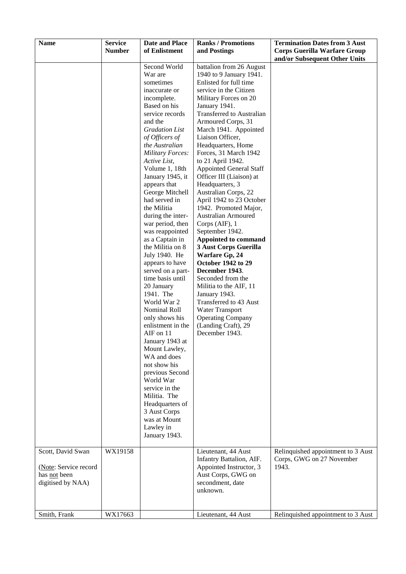| <b>Name</b>                                                | <b>Service</b><br><b>Number</b> | <b>Date and Place</b><br>of Enlistment                                                                                                                                                                                                                                                                                                                                                                                                                                                                                                                                                                                                                                                                                                                                                                                                                  | <b>Ranks / Promotions</b><br>and Postings                                                                                                                                                                                                                                                                                                                                                                                                                                                                                                                                                                                                                                                                                                                                                                                                                                                | <b>Termination Dates from 3 Aust</b><br><b>Corps Guerilla Warfare Group</b><br>and/or Subsequent Other Units |
|------------------------------------------------------------|---------------------------------|---------------------------------------------------------------------------------------------------------------------------------------------------------------------------------------------------------------------------------------------------------------------------------------------------------------------------------------------------------------------------------------------------------------------------------------------------------------------------------------------------------------------------------------------------------------------------------------------------------------------------------------------------------------------------------------------------------------------------------------------------------------------------------------------------------------------------------------------------------|------------------------------------------------------------------------------------------------------------------------------------------------------------------------------------------------------------------------------------------------------------------------------------------------------------------------------------------------------------------------------------------------------------------------------------------------------------------------------------------------------------------------------------------------------------------------------------------------------------------------------------------------------------------------------------------------------------------------------------------------------------------------------------------------------------------------------------------------------------------------------------------|--------------------------------------------------------------------------------------------------------------|
| Scott, David Swan                                          | WX19158                         | Second World<br>War are<br>sometimes<br>inaccurate or<br>incomplete.<br>Based on his<br>service records<br>and the<br><b>Gradation List</b><br>of Officers of<br>the Australian<br><b>Military Forces:</b><br>Active List,<br>Volume 1, 18th<br>January 1945, it<br>appears that<br>George Mitchell<br>had served in<br>the Militia<br>during the inter-<br>war period, then<br>was reappointed<br>as a Captain in<br>the Militia on 8<br>July 1940. He<br>appears to have<br>served on a part-<br>time basis until<br>20 January<br>1941. The<br>World War 2<br>Nominal Roll<br>only shows his<br>enlistment in the<br>AIF on 11<br>January 1943 at<br>Mount Lawley,<br>WA and does<br>not show his<br>previous Second<br>World War<br>service in the<br>Militia. The<br>Headquarters of<br>3 Aust Corps<br>was at Mount<br>Lawley in<br>January 1943. | battalion from 26 August<br>1940 to 9 January 1941.<br>Enlisted for full time<br>service in the Citizen<br>Military Forces on 20<br>January 1941.<br>Transferred to Australian<br>Armoured Corps, 31<br>March 1941. Appointed<br>Liaison Officer,<br>Headquarters, Home<br>Forces, 31 March 1942<br>to 21 April 1942.<br><b>Appointed General Staff</b><br>Officer III (Liaison) at<br>Headquarters, 3<br>Australian Corps, 22<br>April 1942 to 23 October<br>1942. Promoted Major,<br><b>Australian Armoured</b><br>Corps (AIF), 1<br>September 1942.<br>Appointed to command<br>3 Aust Corps Guerilla<br>Warfare Gp, 24<br><b>October 1942 to 29</b><br>December 1943.<br>Seconded from the<br>Militia to the AIF, 11<br>January 1943.<br>Transferred to 43 Aust<br><b>Water Transport</b><br><b>Operating Company</b><br>(Landing Craft), 29<br>December 1943.<br>Lieutenant, 44 Aust | Relinquished appointment to 3 Aust                                                                           |
| (Note: Service record<br>has not been<br>digitised by NAA) |                                 |                                                                                                                                                                                                                                                                                                                                                                                                                                                                                                                                                                                                                                                                                                                                                                                                                                                         | Infantry Battalion, AIF.<br>Appointed Instructor, 3<br>Aust Corps, GWG on<br>secondment, date<br>unknown.                                                                                                                                                                                                                                                                                                                                                                                                                                                                                                                                                                                                                                                                                                                                                                                | Corps, GWG on 27 November<br>1943.                                                                           |
| Smith, Frank                                               | WX17663                         |                                                                                                                                                                                                                                                                                                                                                                                                                                                                                                                                                                                                                                                                                                                                                                                                                                                         | Lieutenant, 44 Aust                                                                                                                                                                                                                                                                                                                                                                                                                                                                                                                                                                                                                                                                                                                                                                                                                                                                      | Relinquished appointment to 3 Aust                                                                           |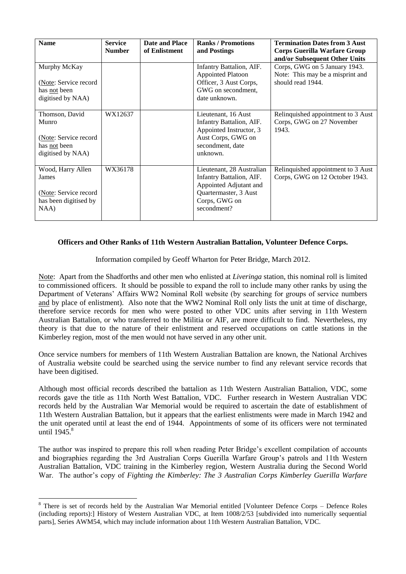| <b>Name</b>                                                                           | <b>Service</b><br><b>Number</b> | Date and Place<br>of Enlistment | <b>Ranks / Promotions</b><br>and Postings                                                                                                | <b>Termination Dates from 3 Aust</b><br><b>Corps Guerilla Warfare Group</b><br>and/or Subsequent Other Units |
|---------------------------------------------------------------------------------------|---------------------------------|---------------------------------|------------------------------------------------------------------------------------------------------------------------------------------|--------------------------------------------------------------------------------------------------------------|
| Murphy McKay<br>(Note: Service record<br>has not been<br>digitised by NAA)            |                                 |                                 | Infantry Battalion, AIF.<br><b>Appointed Platoon</b><br>Officer, 3 Aust Corps,<br>GWG on secondment,<br>date unknown.                    | Corps, GWG on 5 January 1943.<br>Note: This may be a misprint and<br>should read 1944.                       |
| Thomson, David<br>Munro<br>(Note: Service record<br>has not been<br>digitised by NAA) | WX12637                         |                                 | Lieutenant, 16 Aust<br>Infantry Battalion, AIF.<br>Appointed Instructor, 3<br>Aust Corps, GWG on<br>secondment, date<br>unknown.         | Relinquished appointment to 3 Aust<br>Corps, GWG on 27 November<br>1943.                                     |
| Wood, Harry Allen<br>James<br>(Note: Service record)<br>has been digitised by<br>NAA) | WX36178                         |                                 | Lieutenant, 28 Australian<br>Infantry Battalion, AIF.<br>Appointed Adjutant and<br>Quartermaster, 3 Aust<br>Corps, GWG on<br>secondment? | Relinquished appointment to 3 Aust<br>Corps, GWG on 12 October 1943.                                         |

# **Officers and Other Ranks of 11th Western Australian Battalion, Volunteer Defence Corps.**

Information compiled by Geoff Wharton for Peter Bridge, March 2012.

Note: Apart from the Shadforths and other men who enlisted at *Liveringa* station, this nominal roll is limited to commissioned officers. It should be possible to expand the roll to include many other ranks by using the Department of Veterans' Affairs WW2 Nominal Roll website (by searching for groups of service numbers and by place of enlistment). Also note that the WW2 Nominal Roll only lists the unit at time of discharge, therefore service records for men who were posted to other VDC units after serving in 11th Western Australian Battalion, or who transferred to the Militia or AIF, are more difficult to find. Nevertheless, my theory is that due to the nature of their enlistment and reserved occupations on cattle stations in the Kimberley region, most of the men would not have served in any other unit.

Once service numbers for members of 11th Western Australian Battalion are known, the National Archives of Australia website could be searched using the service number to find any relevant service records that have been digitised.

Although most official records described the battalion as 11th Western Australian Battalion, VDC, some records gave the title as 11th North West Battalion, VDC. Further research in Western Australian VDC records held by the Australian War Memorial would be required to ascertain the date of establishment of 11th Western Australian Battalion, but it appears that the earliest enlistments were made in March 1942 and the unit operated until at least the end of 1944. Appointments of some of its officers were not terminated until  $1945$ <sup>8</sup>

The author was inspired to prepare this roll when reading Peter Bridge's excellent compilation of accounts and biographies regarding the 3rd Australian Corps Guerilla Warfare Group's patrols and 11th Western Australian Battalion, VDC training in the Kimberley region, Western Australia during the Second World War. The author's copy of *Fighting the Kimberley: The 3 Australian Corps Kimberley Guerilla Warfare* 

 $\overline{\phantom{a}}$ 

<sup>&</sup>lt;sup>8</sup> There is set of records held by the Australian War Memorial entitled [Volunteer Defence Corps – Defence Roles (including reports):] History of Western Australian VDC, at Item 1008/2/53 [subdivided into numerically sequential parts], Series AWM54, which may include information about 11th Western Australian Battalion, VDC.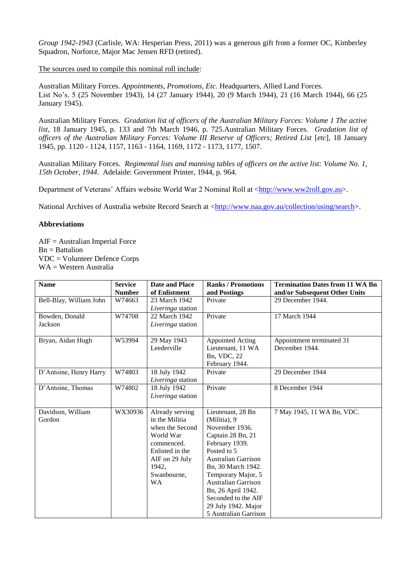*Group 1942-1943* (Carlisle, WA: Hesperian Press, 2011) was a generous gift from a former OC, Kimberley Squadron, Norforce, Major Mac Jensen RFD (retired).

The sources used to compile this nominal roll include:

Australian Military Forces. *Appointments, Promotions, Etc.* Headquarters, Allied Land Forces. List No's. 5 (25 November 1943), 14 (27 January 1944), 20 (9 March 1944), 21 (16 March 1944), 66 (25 January 1945).

Australian Military Forces. *Gradation list of officers of the Australian Military Forces: Volume 1 The active list,* 18 January 1945, p. 133 and 7th March 1946, p. 725.Australian Military Forces. *Gradation list of officers of the Australian Military Forces: Volume III Reserve of Officers; Retired List [etc], 18 January* 1945, pp. 1120 - 1124, 1157, 1163 - 1164, 1169, 1172 - 1173, 1177, 1507.

Australian Military Forces. *Regimental lists and manning tables of officers on the active list: Volume No. 1, 15th October, 1944*. Adelaide: Government Printer, 1944, p. 964.

Department of Veterans' Affairs website World War 2 Nominal Roll at [<http://www.ww2roll.gov.au>](http://www.ww2roll.gov.au/).

National Archives of Australia website Record Search at [<http://www.naa.gov.au/collection/using/search>](http://www.naa.gov.au/collection/using/search).

# **Abbreviations**

 $AIF = Australian Imperial Force$  $Bn =$  Battalion VDC = Volunteer Defence Corps WA = Western Australia

| <b>Name</b>                 | <b>Service</b><br><b>Number</b> | Date and Place<br>of Enlistment                                                                                                                           | <b>Ranks / Promotions</b>                                                                                                                                                                                                                                                                               | <b>Termination Dates from 11 WA Bn</b>             |
|-----------------------------|---------------------------------|-----------------------------------------------------------------------------------------------------------------------------------------------------------|---------------------------------------------------------------------------------------------------------------------------------------------------------------------------------------------------------------------------------------------------------------------------------------------------------|----------------------------------------------------|
| Bell-Blay, William John     | W74663                          | 23 March 1942<br>Liveringa station                                                                                                                        | and Postings<br>Private                                                                                                                                                                                                                                                                                 | and/or Subsequent Other Units<br>29 December 1944. |
| Bowden, Donald<br>Jackson   | W74708                          | 22 March 1942<br><i>Liveringa</i> station                                                                                                                 | Private                                                                                                                                                                                                                                                                                                 | 17 March 1944                                      |
| Bryan, Aidan Hugh           | W53994                          | 29 May 1943<br>Leederville                                                                                                                                | Appointed Acting<br>Lieutenant, 11 WA<br>Bn, VDC, 22<br>February 1944.                                                                                                                                                                                                                                  | Appointment terminated 31<br>December 1944.        |
| D'Antoine, Henry Harry      | W74803                          | 18 July 1942<br>Liveringa station                                                                                                                         | Private                                                                                                                                                                                                                                                                                                 | 29 December 1944                                   |
| D'Antoine, Thomas           | W74802                          | 18 July 1942<br>Liveringa station                                                                                                                         | Private                                                                                                                                                                                                                                                                                                 | 8 December 1944                                    |
| Davidson, William<br>Gordon | WX30936                         | Already serving<br>in the Militia<br>when the Second<br>World War<br>commenced.<br>Enlisted in the<br>AIF on 29 July<br>1942,<br>Swanbourne,<br><b>WA</b> | Lieutenant, 28 Bn<br>(Militia), 9<br>November 1936.<br>Captain 28 Bn, 21<br>February 1939.<br>Posted to 5<br><b>Australian Garrison</b><br>Bn, 30 March 1942.<br>Temporary Major, 5<br>Australian Garrison<br>Bn, 26 April 1942.<br>Seconded to the AIF<br>29 July 1942. Major<br>5 Australian Garrison | 7 May 1945, 11 WA Bn, VDC.                         |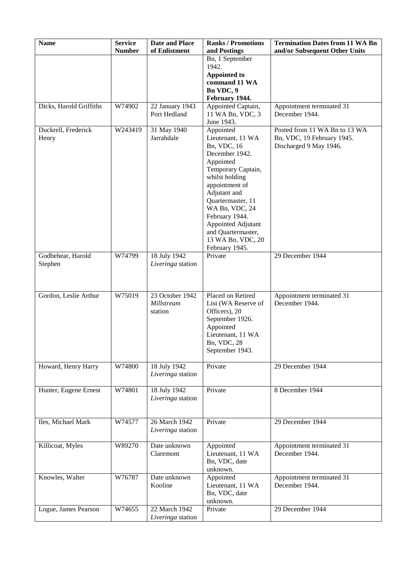| <b>Name</b>                  | <b>Service</b><br><b>Number</b> | Date and Place<br>of Enlistment          | <b>Ranks / Promotions</b><br>and Postings                                                                                                                                                                                                                                                          | <b>Termination Dates from 11 WA Bn</b><br>and/or Subsequent Other Units               |
|------------------------------|---------------------------------|------------------------------------------|----------------------------------------------------------------------------------------------------------------------------------------------------------------------------------------------------------------------------------------------------------------------------------------------------|---------------------------------------------------------------------------------------|
|                              |                                 |                                          | Bn, 1 September<br>1942.                                                                                                                                                                                                                                                                           |                                                                                       |
|                              |                                 |                                          | <b>Appointed to</b><br>command 11 WA<br>Bn VDC, 9<br>February 1944.                                                                                                                                                                                                                                |                                                                                       |
| Dicks, Harold Griffiths      | W74902                          | 22 January 1943<br>Port Hedland          | Appointed Captain,<br>11 WA Bn, VDC, 3<br>June 1943.                                                                                                                                                                                                                                               | Appointment terminated 31<br>December 1944.                                           |
| Duckrell, Frederick<br>Henry | W243419                         | 31 May 1940<br>Jarrahdale                | Appointed<br>Lieutenant, 11 WA<br>Bn, VDC, 16<br>December 1942.<br>Appointed<br>Temporary Captain,<br>whilst holding<br>appointment of<br>Adjutant and<br>Quartermaster, 11<br>WA Bn, VDC, 24<br>February 1944.<br>Appointed Adjutant<br>and Quartermaster,<br>13 WA Bn, VDC, 20<br>February 1945. | Posted from 11 WA Bn to 13 WA<br>Bn, VDC, 19 February 1945.<br>Discharged 9 May 1946. |
| Godbehear, Harold<br>Stephen | W74799                          | 18 July 1942<br>Liveringa station        | Private                                                                                                                                                                                                                                                                                            | 29 December 1944                                                                      |
| Gordon, Leslie Arthur        | W75019                          | 23 October 1942<br>Millstream<br>station | Placed on Retired<br>List (WA Reserve of<br>Officers), 20<br>September 1926.<br>Appointed<br>Lieutenant, 11 WA<br>Bn, VDC, 28<br>September 1943.                                                                                                                                                   | Appointment terminated 31<br>December 1944.                                           |
| Howard, Henry Harry          | W74800                          | 18 July 1942<br>Liveringa station        | Private                                                                                                                                                                                                                                                                                            | 29 December 1944                                                                      |
| Hunter, Eugene Ernest        | W74801                          | 18 July 1942<br>Liveringa station        | Private                                                                                                                                                                                                                                                                                            | 8 December 1944                                                                       |
| Iles, Michael Mark           | W74577                          | 26 March 1942<br>Liveringa station       | Private                                                                                                                                                                                                                                                                                            | 29 December 1944                                                                      |
| Killicoat, Myles             | W89270                          | Date unknown<br>Claremont                | Appointed<br>Lieutenant, 11 WA<br>Bn, VDC, date<br>unknown.                                                                                                                                                                                                                                        | Appointment terminated 31<br>December 1944.                                           |
| Knowles, Walter              | W76787                          | Date unknown<br>Kooline                  | Appointed<br>Lieutenant, 11 WA<br>Bn, VDC, date<br>unknown.                                                                                                                                                                                                                                        | Appointment terminated 31<br>December 1944.                                           |
| Logue, James Pearson         | W74655                          | 22 March 1942<br>Liveringa station       | Private                                                                                                                                                                                                                                                                                            | 29 December 1944                                                                      |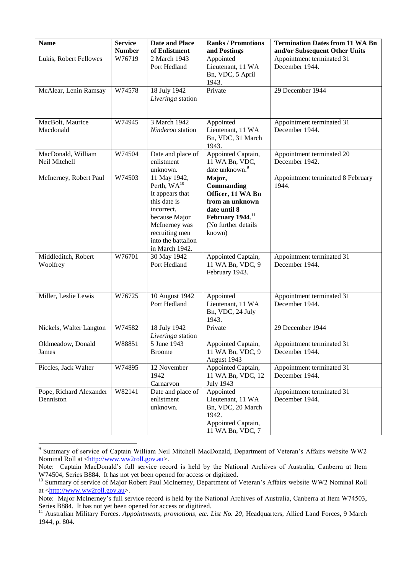| <b>Name</b>                          | <b>Service</b><br><b>Number</b> | <b>Date and Place</b><br>of Enlistment                                                                                                                                        | <b>Ranks / Promotions</b><br>and Postings                                                                                                     | <b>Termination Dates from 11 WA Bn</b><br>and/or Subsequent Other Units |
|--------------------------------------|---------------------------------|-------------------------------------------------------------------------------------------------------------------------------------------------------------------------------|-----------------------------------------------------------------------------------------------------------------------------------------------|-------------------------------------------------------------------------|
| Lukis, Robert Fellowes               | W76719                          | 2 March 1943<br>Port Hedland                                                                                                                                                  | Appointed<br>Lieutenant, 11 WA<br>Bn, VDC, 5 April<br>1943.                                                                                   | Appointment terminated 31<br>December 1944.                             |
| McAlear, Lenin Ramsay                | W74578                          | 18 July 1942<br>Liveringa station                                                                                                                                             | Private                                                                                                                                       | 29 December 1944                                                        |
| MacBolt, Maurice<br>Macdonald        | W74945                          | 3 March 1942<br>Ninderoo station                                                                                                                                              | Appointed<br>Lieutenant, 11 WA<br>Bn, VDC, 31 March<br>1943.                                                                                  | Appointment terminated 31<br>December 1944.                             |
| MacDonald, William<br>Neil Mitchell  | W74504                          | Date and place of<br>enlistment<br>unknown.                                                                                                                                   | Appointed Captain,<br>11 WA Bn, VDC,<br>date unknown. <sup>9</sup>                                                                            | Appointment terminated 20<br>December 1942.                             |
| McInerney, Robert Paul               | W74503                          | 11 May 1942,<br>Perth, $WA^{10}$<br>It appears that<br>this date is<br>incorrect,<br>because Major<br>McInerney was<br>recruiting men<br>into the battalion<br>in March 1942. | Major,<br>Commanding<br>Officer, 11 WA Bn<br>from an unknown<br>date until 8<br>February 1944. <sup>11</sup><br>(No further details<br>known) | Appointment terminated 8 February<br>1944.                              |
| Middleditch, Robert<br>Woolfrey      | W76701                          | 30 May 1942<br>Port Hedland                                                                                                                                                   | Appointed Captain,<br>11 WA Bn, VDC, 9<br>February 1943.                                                                                      | Appointment terminated 31<br>December 1944.                             |
| Miller, Leslie Lewis                 | W76725                          | 10 August 1942<br>Port Hedland                                                                                                                                                | Appointed<br>Lieutenant, 11 WA<br>Bn, VDC, 24 July<br>1943.                                                                                   | Appointment terminated 31<br>December 1944.                             |
| Nickels, Walter Langton              | W74582                          | 18 July 1942<br><i>Liveringa</i> station                                                                                                                                      | Private                                                                                                                                       | 29 December 1944                                                        |
| Oldmeadow, Donald<br>James           | W88851                          | 5 June 1943<br><b>Broome</b>                                                                                                                                                  | Appointed Captain,<br>11 WA Bn, VDC, 9<br>August 1943                                                                                         | Appointment terminated 31<br>December 1944.                             |
| Piccles, Jack Walter                 | W74895                          | 12 November<br>1942<br>Carnarvon                                                                                                                                              | Appointed Captain,<br>11 WA Bn, VDC, 12<br><b>July 1943</b>                                                                                   | Appointment terminated 31<br>December 1944.                             |
| Pope, Richard Alexander<br>Denniston | W82141                          | Date and place of<br>enlistment<br>unknown.                                                                                                                                   | Appointed<br>Lieutenant, 11 WA<br>Bn, VDC, 20 March<br>1942.<br>Appointed Captain,<br>11 WA Bn, VDC, 7                                        | Appointment terminated 31<br>December 1944.                             |

 9 Summary of service of Captain William Neil Mitchell MacDonald, Department of Veteran's Affairs website WW2 Nominal Roll at [<http://www.ww2roll.gov.au>](http://www.ww2roll.gov.au/).

Note: Captain MacDonald's full service record is held by the National Archives of Australia, Canberra at Item W74504, Series B884. It has not yet been opened for access or digitized.

<sup>&</sup>lt;sup>10</sup> Summary of service of Major Robert Paul McInerney, Department of Veteran's Affairs website WW2 Nominal Roll at  $\langle \frac{http://www.ww2roll.gov.au}{http://www.ww2roll.gov.au}\rangle$ .

Note: Major McInerney's full service record is held by the National Archives of Australia, Canberra at Item W74503, Series B884. It has not yet been opened for access or digitized.

<sup>&</sup>lt;sup>11</sup> Australian Military Forces. *Appointments, promotions, etc. List No. 20*, Headquarters, Allied Land Forces, 9 March 1944, p. 804.